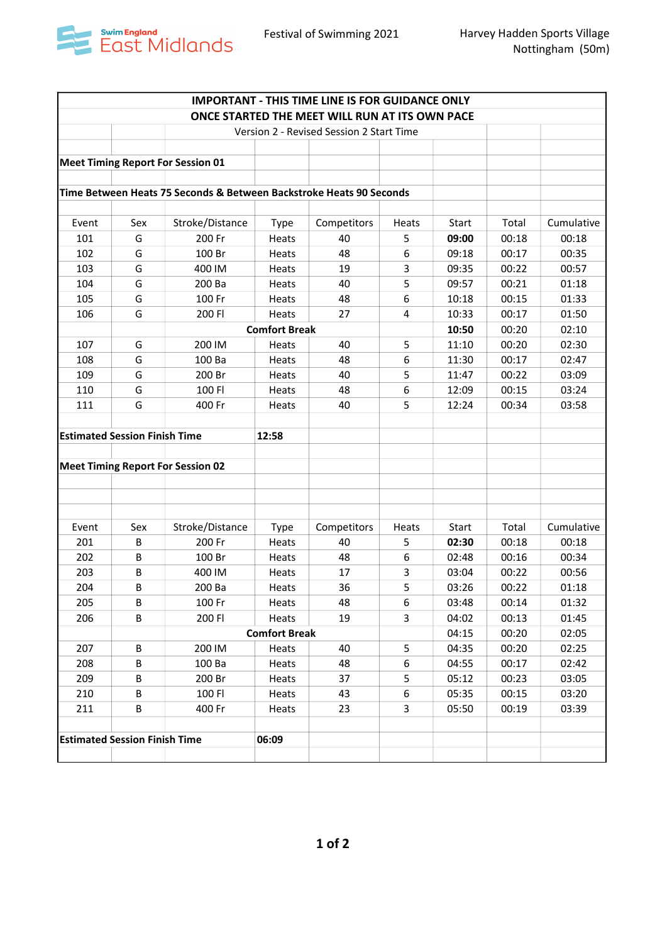

| ONCE STARTED THE MEET WILL RUN AT ITS OWN PACE<br>Version 2 - Revised Session 2 Start Time<br><b>Meet Timing Report For Session 01</b><br>Time Between Heats 75 Seconds & Between Backstroke Heats 90 Seconds<br>Stroke/Distance<br>Total<br>Event<br>Sex<br>Competitors<br>Heats<br><b>Start</b><br><b>Type</b><br>101<br>G<br>200 Fr<br>40<br>5<br>00:18<br>09:00<br>Heats<br>G<br>48<br>6<br>102<br>100 Br<br>09:18<br>00:17<br>Heats<br>G<br>103<br>400 IM<br>19<br>3<br>09:35<br>00:22<br>Heats<br>5<br>G<br>09:57<br>00:21<br>104<br>200 Ba<br>40<br>Heats<br>G<br>100 Fr<br>48<br>6<br>105<br>10:18<br>00:15<br>Heats<br>G<br>27<br>4<br>10:33<br>106<br>200 FI<br>Heats<br>00:17<br><b>Comfort Break</b><br>10:50<br>00:20<br>107<br>G<br>200 IM<br>40<br>5<br>11:10<br>00:20<br>Heats<br>G<br>100 Ba<br>48<br>6<br>108<br>11:30<br>00:17<br>Heats<br>G<br>5<br>109<br>200 Br<br>40<br>11:47<br>00:22<br>Heats<br>G<br>100 FI<br>48<br>6<br>12:09<br>00:15<br>110<br>Heats<br>G<br>111<br>400 Fr<br>40<br>5<br>12:24<br>00:34<br>Heats<br><b>Estimated Session Finish Time</b><br>12:58<br><b>Meet Timing Report For Session 02</b><br>Sex<br>Stroke/Distance<br>Start<br>Total<br>Event<br>Competitors<br>Heats<br><b>Type</b><br>B<br>201<br>200 Fr<br>Heats<br>40<br>02:30<br>00:18<br>5<br>202<br>B<br>100 Br<br>48<br>6<br>02:48<br>00:16<br><b>Heats</b><br>203<br>B<br>400 IM<br>17<br>03:04<br>00:22<br>Heats<br>3<br>5<br>204<br>B<br>36<br>200 Ba<br>03:26<br>00:22<br>Heats<br>6<br>205<br>В<br>100 Fr<br>48<br>03:48<br>00:14<br>Heats<br>B<br>200 FI<br>206<br>Heats<br>19<br>3<br>04:02<br>00:13<br><b>Comfort Break</b><br>00:20<br>04:15<br>200 IM<br>5<br>207<br>B<br>40<br>04:35<br>00:20<br>Heats<br>$\sf B$<br>6<br>208<br>100 Ba<br>48<br>04:55<br>00:17<br>Heats<br>209<br>200 Br<br>37<br>05:12<br>00:23<br>В<br>Heats<br>5.<br>210<br>В<br>100 FI<br>43<br>6<br>05:35<br>00:15<br>Heats<br>23<br>3<br>211<br>B<br>400 Fr<br>05:50<br>00:19<br>Heats | <b>IMPORTANT - THIS TIME LINE IS FOR GUIDANCE ONLY</b> |  |  |  |  |  |  |  |            |  |
|-------------------------------------------------------------------------------------------------------------------------------------------------------------------------------------------------------------------------------------------------------------------------------------------------------------------------------------------------------------------------------------------------------------------------------------------------------------------------------------------------------------------------------------------------------------------------------------------------------------------------------------------------------------------------------------------------------------------------------------------------------------------------------------------------------------------------------------------------------------------------------------------------------------------------------------------------------------------------------------------------------------------------------------------------------------------------------------------------------------------------------------------------------------------------------------------------------------------------------------------------------------------------------------------------------------------------------------------------------------------------------------------------------------------------------------------------------------------------------------------------------------------------------------------------------------------------------------------------------------------------------------------------------------------------------------------------------------------------------------------------------------------------------------------------------------------------------------------------------------------------------------------------------------------------------------------------------------------------------------|--------------------------------------------------------|--|--|--|--|--|--|--|------------|--|
|                                                                                                                                                                                                                                                                                                                                                                                                                                                                                                                                                                                                                                                                                                                                                                                                                                                                                                                                                                                                                                                                                                                                                                                                                                                                                                                                                                                                                                                                                                                                                                                                                                                                                                                                                                                                                                                                                                                                                                                     |                                                        |  |  |  |  |  |  |  |            |  |
|                                                                                                                                                                                                                                                                                                                                                                                                                                                                                                                                                                                                                                                                                                                                                                                                                                                                                                                                                                                                                                                                                                                                                                                                                                                                                                                                                                                                                                                                                                                                                                                                                                                                                                                                                                                                                                                                                                                                                                                     |                                                        |  |  |  |  |  |  |  |            |  |
|                                                                                                                                                                                                                                                                                                                                                                                                                                                                                                                                                                                                                                                                                                                                                                                                                                                                                                                                                                                                                                                                                                                                                                                                                                                                                                                                                                                                                                                                                                                                                                                                                                                                                                                                                                                                                                                                                                                                                                                     |                                                        |  |  |  |  |  |  |  |            |  |
|                                                                                                                                                                                                                                                                                                                                                                                                                                                                                                                                                                                                                                                                                                                                                                                                                                                                                                                                                                                                                                                                                                                                                                                                                                                                                                                                                                                                                                                                                                                                                                                                                                                                                                                                                                                                                                                                                                                                                                                     |                                                        |  |  |  |  |  |  |  |            |  |
|                                                                                                                                                                                                                                                                                                                                                                                                                                                                                                                                                                                                                                                                                                                                                                                                                                                                                                                                                                                                                                                                                                                                                                                                                                                                                                                                                                                                                                                                                                                                                                                                                                                                                                                                                                                                                                                                                                                                                                                     |                                                        |  |  |  |  |  |  |  |            |  |
|                                                                                                                                                                                                                                                                                                                                                                                                                                                                                                                                                                                                                                                                                                                                                                                                                                                                                                                                                                                                                                                                                                                                                                                                                                                                                                                                                                                                                                                                                                                                                                                                                                                                                                                                                                                                                                                                                                                                                                                     |                                                        |  |  |  |  |  |  |  |            |  |
|                                                                                                                                                                                                                                                                                                                                                                                                                                                                                                                                                                                                                                                                                                                                                                                                                                                                                                                                                                                                                                                                                                                                                                                                                                                                                                                                                                                                                                                                                                                                                                                                                                                                                                                                                                                                                                                                                                                                                                                     |                                                        |  |  |  |  |  |  |  |            |  |
|                                                                                                                                                                                                                                                                                                                                                                                                                                                                                                                                                                                                                                                                                                                                                                                                                                                                                                                                                                                                                                                                                                                                                                                                                                                                                                                                                                                                                                                                                                                                                                                                                                                                                                                                                                                                                                                                                                                                                                                     |                                                        |  |  |  |  |  |  |  | Cumulative |  |
|                                                                                                                                                                                                                                                                                                                                                                                                                                                                                                                                                                                                                                                                                                                                                                                                                                                                                                                                                                                                                                                                                                                                                                                                                                                                                                                                                                                                                                                                                                                                                                                                                                                                                                                                                                                                                                                                                                                                                                                     |                                                        |  |  |  |  |  |  |  | 00:18      |  |
|                                                                                                                                                                                                                                                                                                                                                                                                                                                                                                                                                                                                                                                                                                                                                                                                                                                                                                                                                                                                                                                                                                                                                                                                                                                                                                                                                                                                                                                                                                                                                                                                                                                                                                                                                                                                                                                                                                                                                                                     |                                                        |  |  |  |  |  |  |  | 00:35      |  |
|                                                                                                                                                                                                                                                                                                                                                                                                                                                                                                                                                                                                                                                                                                                                                                                                                                                                                                                                                                                                                                                                                                                                                                                                                                                                                                                                                                                                                                                                                                                                                                                                                                                                                                                                                                                                                                                                                                                                                                                     |                                                        |  |  |  |  |  |  |  | 00:57      |  |
|                                                                                                                                                                                                                                                                                                                                                                                                                                                                                                                                                                                                                                                                                                                                                                                                                                                                                                                                                                                                                                                                                                                                                                                                                                                                                                                                                                                                                                                                                                                                                                                                                                                                                                                                                                                                                                                                                                                                                                                     |                                                        |  |  |  |  |  |  |  | 01:18      |  |
|                                                                                                                                                                                                                                                                                                                                                                                                                                                                                                                                                                                                                                                                                                                                                                                                                                                                                                                                                                                                                                                                                                                                                                                                                                                                                                                                                                                                                                                                                                                                                                                                                                                                                                                                                                                                                                                                                                                                                                                     |                                                        |  |  |  |  |  |  |  | 01:33      |  |
|                                                                                                                                                                                                                                                                                                                                                                                                                                                                                                                                                                                                                                                                                                                                                                                                                                                                                                                                                                                                                                                                                                                                                                                                                                                                                                                                                                                                                                                                                                                                                                                                                                                                                                                                                                                                                                                                                                                                                                                     |                                                        |  |  |  |  |  |  |  | 01:50      |  |
|                                                                                                                                                                                                                                                                                                                                                                                                                                                                                                                                                                                                                                                                                                                                                                                                                                                                                                                                                                                                                                                                                                                                                                                                                                                                                                                                                                                                                                                                                                                                                                                                                                                                                                                                                                                                                                                                                                                                                                                     |                                                        |  |  |  |  |  |  |  | 02:10      |  |
|                                                                                                                                                                                                                                                                                                                                                                                                                                                                                                                                                                                                                                                                                                                                                                                                                                                                                                                                                                                                                                                                                                                                                                                                                                                                                                                                                                                                                                                                                                                                                                                                                                                                                                                                                                                                                                                                                                                                                                                     |                                                        |  |  |  |  |  |  |  | 02:30      |  |
|                                                                                                                                                                                                                                                                                                                                                                                                                                                                                                                                                                                                                                                                                                                                                                                                                                                                                                                                                                                                                                                                                                                                                                                                                                                                                                                                                                                                                                                                                                                                                                                                                                                                                                                                                                                                                                                                                                                                                                                     |                                                        |  |  |  |  |  |  |  | 02:47      |  |
|                                                                                                                                                                                                                                                                                                                                                                                                                                                                                                                                                                                                                                                                                                                                                                                                                                                                                                                                                                                                                                                                                                                                                                                                                                                                                                                                                                                                                                                                                                                                                                                                                                                                                                                                                                                                                                                                                                                                                                                     |                                                        |  |  |  |  |  |  |  | 03:09      |  |
|                                                                                                                                                                                                                                                                                                                                                                                                                                                                                                                                                                                                                                                                                                                                                                                                                                                                                                                                                                                                                                                                                                                                                                                                                                                                                                                                                                                                                                                                                                                                                                                                                                                                                                                                                                                                                                                                                                                                                                                     |                                                        |  |  |  |  |  |  |  | 03:24      |  |
|                                                                                                                                                                                                                                                                                                                                                                                                                                                                                                                                                                                                                                                                                                                                                                                                                                                                                                                                                                                                                                                                                                                                                                                                                                                                                                                                                                                                                                                                                                                                                                                                                                                                                                                                                                                                                                                                                                                                                                                     |                                                        |  |  |  |  |  |  |  | 03:58      |  |
|                                                                                                                                                                                                                                                                                                                                                                                                                                                                                                                                                                                                                                                                                                                                                                                                                                                                                                                                                                                                                                                                                                                                                                                                                                                                                                                                                                                                                                                                                                                                                                                                                                                                                                                                                                                                                                                                                                                                                                                     |                                                        |  |  |  |  |  |  |  |            |  |
|                                                                                                                                                                                                                                                                                                                                                                                                                                                                                                                                                                                                                                                                                                                                                                                                                                                                                                                                                                                                                                                                                                                                                                                                                                                                                                                                                                                                                                                                                                                                                                                                                                                                                                                                                                                                                                                                                                                                                                                     |                                                        |  |  |  |  |  |  |  |            |  |
|                                                                                                                                                                                                                                                                                                                                                                                                                                                                                                                                                                                                                                                                                                                                                                                                                                                                                                                                                                                                                                                                                                                                                                                                                                                                                                                                                                                                                                                                                                                                                                                                                                                                                                                                                                                                                                                                                                                                                                                     |                                                        |  |  |  |  |  |  |  |            |  |
|                                                                                                                                                                                                                                                                                                                                                                                                                                                                                                                                                                                                                                                                                                                                                                                                                                                                                                                                                                                                                                                                                                                                                                                                                                                                                                                                                                                                                                                                                                                                                                                                                                                                                                                                                                                                                                                                                                                                                                                     |                                                        |  |  |  |  |  |  |  |            |  |
|                                                                                                                                                                                                                                                                                                                                                                                                                                                                                                                                                                                                                                                                                                                                                                                                                                                                                                                                                                                                                                                                                                                                                                                                                                                                                                                                                                                                                                                                                                                                                                                                                                                                                                                                                                                                                                                                                                                                                                                     |                                                        |  |  |  |  |  |  |  |            |  |
|                                                                                                                                                                                                                                                                                                                                                                                                                                                                                                                                                                                                                                                                                                                                                                                                                                                                                                                                                                                                                                                                                                                                                                                                                                                                                                                                                                                                                                                                                                                                                                                                                                                                                                                                                                                                                                                                                                                                                                                     |                                                        |  |  |  |  |  |  |  |            |  |
|                                                                                                                                                                                                                                                                                                                                                                                                                                                                                                                                                                                                                                                                                                                                                                                                                                                                                                                                                                                                                                                                                                                                                                                                                                                                                                                                                                                                                                                                                                                                                                                                                                                                                                                                                                                                                                                                                                                                                                                     |                                                        |  |  |  |  |  |  |  |            |  |
|                                                                                                                                                                                                                                                                                                                                                                                                                                                                                                                                                                                                                                                                                                                                                                                                                                                                                                                                                                                                                                                                                                                                                                                                                                                                                                                                                                                                                                                                                                                                                                                                                                                                                                                                                                                                                                                                                                                                                                                     |                                                        |  |  |  |  |  |  |  | Cumulative |  |
|                                                                                                                                                                                                                                                                                                                                                                                                                                                                                                                                                                                                                                                                                                                                                                                                                                                                                                                                                                                                                                                                                                                                                                                                                                                                                                                                                                                                                                                                                                                                                                                                                                                                                                                                                                                                                                                                                                                                                                                     |                                                        |  |  |  |  |  |  |  | 00:18      |  |
|                                                                                                                                                                                                                                                                                                                                                                                                                                                                                                                                                                                                                                                                                                                                                                                                                                                                                                                                                                                                                                                                                                                                                                                                                                                                                                                                                                                                                                                                                                                                                                                                                                                                                                                                                                                                                                                                                                                                                                                     |                                                        |  |  |  |  |  |  |  | 00:34      |  |
|                                                                                                                                                                                                                                                                                                                                                                                                                                                                                                                                                                                                                                                                                                                                                                                                                                                                                                                                                                                                                                                                                                                                                                                                                                                                                                                                                                                                                                                                                                                                                                                                                                                                                                                                                                                                                                                                                                                                                                                     |                                                        |  |  |  |  |  |  |  | 00:56      |  |
|                                                                                                                                                                                                                                                                                                                                                                                                                                                                                                                                                                                                                                                                                                                                                                                                                                                                                                                                                                                                                                                                                                                                                                                                                                                                                                                                                                                                                                                                                                                                                                                                                                                                                                                                                                                                                                                                                                                                                                                     |                                                        |  |  |  |  |  |  |  | 01:18      |  |
|                                                                                                                                                                                                                                                                                                                                                                                                                                                                                                                                                                                                                                                                                                                                                                                                                                                                                                                                                                                                                                                                                                                                                                                                                                                                                                                                                                                                                                                                                                                                                                                                                                                                                                                                                                                                                                                                                                                                                                                     |                                                        |  |  |  |  |  |  |  | 01:32      |  |
|                                                                                                                                                                                                                                                                                                                                                                                                                                                                                                                                                                                                                                                                                                                                                                                                                                                                                                                                                                                                                                                                                                                                                                                                                                                                                                                                                                                                                                                                                                                                                                                                                                                                                                                                                                                                                                                                                                                                                                                     |                                                        |  |  |  |  |  |  |  | 01:45      |  |
|                                                                                                                                                                                                                                                                                                                                                                                                                                                                                                                                                                                                                                                                                                                                                                                                                                                                                                                                                                                                                                                                                                                                                                                                                                                                                                                                                                                                                                                                                                                                                                                                                                                                                                                                                                                                                                                                                                                                                                                     |                                                        |  |  |  |  |  |  |  | 02:05      |  |
|                                                                                                                                                                                                                                                                                                                                                                                                                                                                                                                                                                                                                                                                                                                                                                                                                                                                                                                                                                                                                                                                                                                                                                                                                                                                                                                                                                                                                                                                                                                                                                                                                                                                                                                                                                                                                                                                                                                                                                                     |                                                        |  |  |  |  |  |  |  | 02:25      |  |
|                                                                                                                                                                                                                                                                                                                                                                                                                                                                                                                                                                                                                                                                                                                                                                                                                                                                                                                                                                                                                                                                                                                                                                                                                                                                                                                                                                                                                                                                                                                                                                                                                                                                                                                                                                                                                                                                                                                                                                                     |                                                        |  |  |  |  |  |  |  | 02:42      |  |
|                                                                                                                                                                                                                                                                                                                                                                                                                                                                                                                                                                                                                                                                                                                                                                                                                                                                                                                                                                                                                                                                                                                                                                                                                                                                                                                                                                                                                                                                                                                                                                                                                                                                                                                                                                                                                                                                                                                                                                                     |                                                        |  |  |  |  |  |  |  | 03:05      |  |
|                                                                                                                                                                                                                                                                                                                                                                                                                                                                                                                                                                                                                                                                                                                                                                                                                                                                                                                                                                                                                                                                                                                                                                                                                                                                                                                                                                                                                                                                                                                                                                                                                                                                                                                                                                                                                                                                                                                                                                                     |                                                        |  |  |  |  |  |  |  | 03:20      |  |
|                                                                                                                                                                                                                                                                                                                                                                                                                                                                                                                                                                                                                                                                                                                                                                                                                                                                                                                                                                                                                                                                                                                                                                                                                                                                                                                                                                                                                                                                                                                                                                                                                                                                                                                                                                                                                                                                                                                                                                                     |                                                        |  |  |  |  |  |  |  | 03:39      |  |
|                                                                                                                                                                                                                                                                                                                                                                                                                                                                                                                                                                                                                                                                                                                                                                                                                                                                                                                                                                                                                                                                                                                                                                                                                                                                                                                                                                                                                                                                                                                                                                                                                                                                                                                                                                                                                                                                                                                                                                                     |                                                        |  |  |  |  |  |  |  |            |  |
| <b>Estimated Session Finish Time</b><br>06:09                                                                                                                                                                                                                                                                                                                                                                                                                                                                                                                                                                                                                                                                                                                                                                                                                                                                                                                                                                                                                                                                                                                                                                                                                                                                                                                                                                                                                                                                                                                                                                                                                                                                                                                                                                                                                                                                                                                                       |                                                        |  |  |  |  |  |  |  |            |  |
|                                                                                                                                                                                                                                                                                                                                                                                                                                                                                                                                                                                                                                                                                                                                                                                                                                                                                                                                                                                                                                                                                                                                                                                                                                                                                                                                                                                                                                                                                                                                                                                                                                                                                                                                                                                                                                                                                                                                                                                     |                                                        |  |  |  |  |  |  |  |            |  |